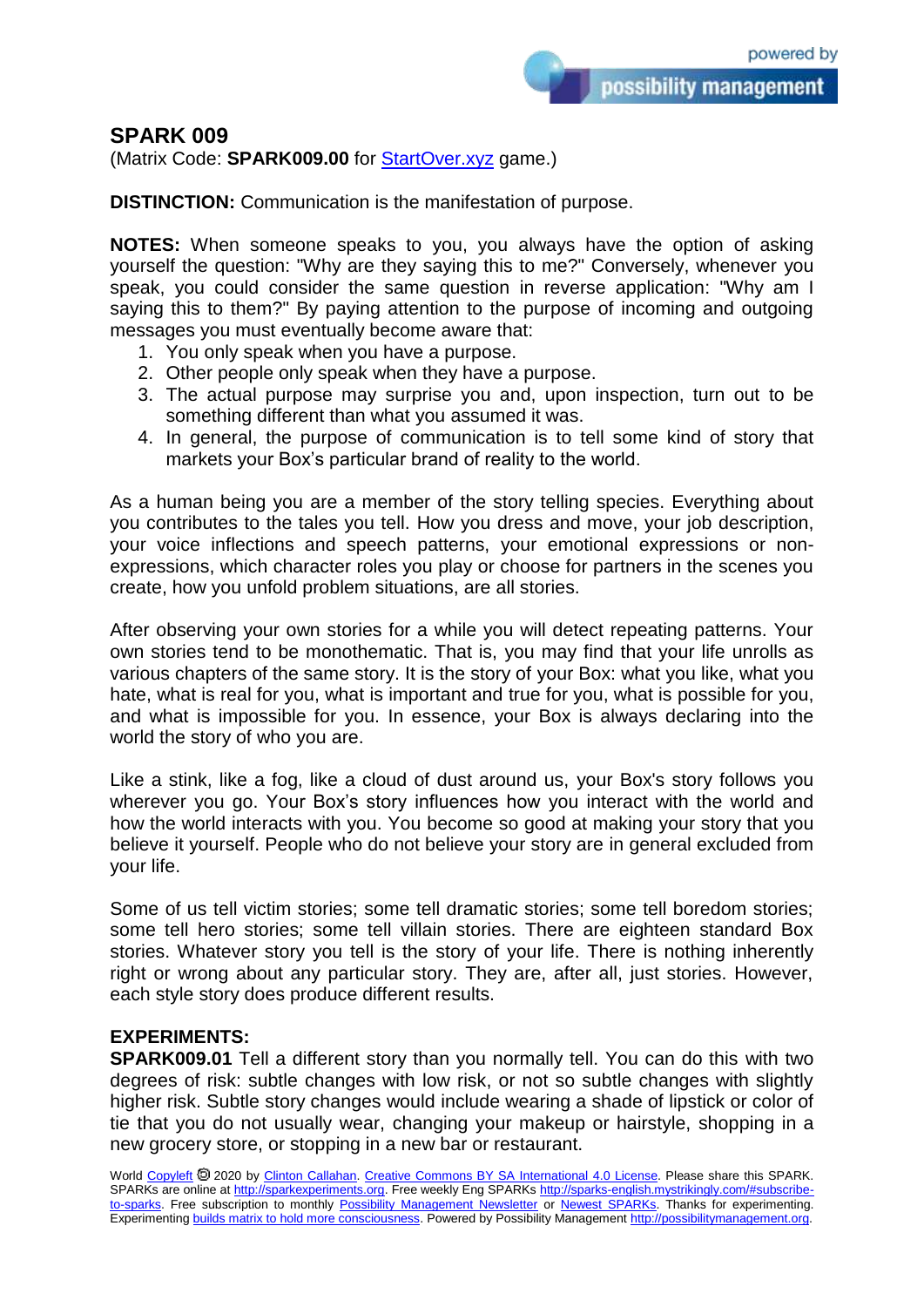## **SPARK 009**

(Matrix Code: **SPARK009.00** for [StartOver.xyz](https://startoverxyz.mystrikingly.com/) game.)

**DISTINCTION:** Communication is the manifestation of purpose.

**NOTES:** When someone speaks to you, you always have the option of asking yourself the question: "Why are they saying this to me?" Conversely, whenever you speak, you could consider the same question in reverse application: "Why am I saying this to them?" By paying attention to the purpose of incoming and outgoing messages you must eventually become aware that:

- 1. You only speak when you have a purpose.
- 2. Other people only speak when they have a purpose.
- 3. The actual purpose may surprise you and, upon inspection, turn out to be something different than what you assumed it was.
- 4. In general, the purpose of communication is to tell some kind of story that markets your Box's particular brand of reality to the world.

As a human being you are a member of the story telling species. Everything about you contributes to the tales you tell. How you dress and move, your job description, your voice inflections and speech patterns, your emotional expressions or nonexpressions, which character roles you play or choose for partners in the scenes you create, how you unfold problem situations, are all stories.

After observing your own stories for a while you will detect repeating patterns. Your own stories tend to be monothematic. That is, you may find that your life unrolls as various chapters of the same story. It is the story of your Box: what you like, what you hate, what is real for you, what is important and true for you, what is possible for you, and what is impossible for you. In essence, your Box is always declaring into the world the story of who you are.

Like a stink, like a fog, like a cloud of dust around us, your Box's story follows you wherever you go. Your Box's story influences how you interact with the world and how the world interacts with you. You become so good at making your story that you believe it yourself. People who do not believe your story are in general excluded from your life.

Some of us tell victim stories; some tell dramatic stories; some tell boredom stories; some tell hero stories; some tell villain stories. There are eighteen standard Box stories. Whatever story you tell is the story of your life. There is nothing inherently right or wrong about any particular story. They are, after all, just stories. However, each style story does produce different results.

## **EXPERIMENTS:**

**SPARK009.01** Tell a different story than you normally tell. You can do this with two degrees of risk: subtle changes with low risk, or not so subtle changes with slightly higher risk. Subtle story changes would include wearing a shade of lipstick or color of tie that you do not usually wear, changing your makeup or hairstyle, shopping in a new grocery store, or stopping in a new bar or restaurant.

World [Copyleft](https://en.wikipedia.org/wiki/Copyleft) 2020 by [Clinton Callahan.](http://clintoncallahan.mystrikingly.com/) [Creative Commons BY SA International 4.0 License.](https://creativecommons.org/licenses/by-sa/4.0/) Please share this SPARK. SPARKs are online at [http://sparkexperiments.org.](http://sparks-english.mystrikingly.com/) Free weekly Eng SPARKs [http://sparks-english.mystrikingly.com/#subscribe](http://sparks-english.mystrikingly.com/#subscribe-to-sparks)[to-sparks.](http://sparks-english.mystrikingly.com/#subscribe-to-sparks) Free subscription to monthly [Possibility Management Newsletter](https://possibilitymanagement.org/news/) or [Newest SPARKs.](https://www.clintoncallahan.org/newsletter-1) Thanks for experimenting. Experimentin[g builds matrix to hold more consciousness.](http://spaceport.mystrikingly.com/) Powered by Possibility Managemen[t http://possibilitymanagement.org.](http://possibilitymanagement.org/)